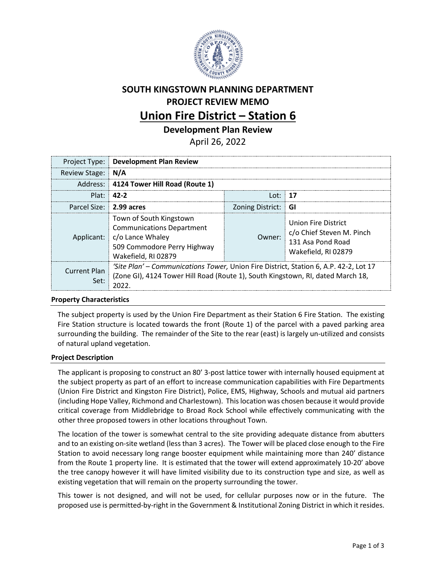

# **SOUTH KINGSTOWN PLANNING DEPARTMENT PROJECT REVIEW MEMO Union Fire District – Station 6**

**Development Plan Review**

April 26, 2022

|                             | <b>Project Type: Development Plan Review</b>                                                                                                                             |                     |                                                                                              |
|-----------------------------|--------------------------------------------------------------------------------------------------------------------------------------------------------------------------|---------------------|----------------------------------------------------------------------------------------------|
| Review Stage: N/A           |                                                                                                                                                                          |                     |                                                                                              |
|                             | Address: 4124 Tower Hill Road (Route 1)                                                                                                                                  |                     |                                                                                              |
|                             | Plat: 42-2                                                                                                                                                               | Lot: $17$           |                                                                                              |
| Parcel Size: 2.99 acres     |                                                                                                                                                                          | Zoning District: GI |                                                                                              |
|                             | Town of South Kingstown<br><b>Communications Department</b><br>Applicant:   c/o Lance Whaley<br>509 Commodore Perry Highway<br>Wakefield, RI 02879                       | Owner:              | Union Fire District<br>c/o Chief Steven M. Pinch<br>131 Asa Pond Road<br>Wakefield, RI 02879 |
| <b>Current Plan</b><br>Set: | 'Site Plan' – Communications Tower, Union Fire District, Station 6, A.P. 42-2, Lot 17<br>(Zone GI), 4124 Tower Hill Road (Route 1), South Kingstown, RI, dated March 18, |                     |                                                                                              |

## **Property Characteristics**

The subject property is used by the Union Fire Department as their Station 6 Fire Station. The existing Fire Station structure is located towards the front (Route 1) of the parcel with a paved parking area surrounding the building. The remainder of the Site to the rear (east) is largely un-utilized and consists of natural upland vegetation.

#### **Project Description**

The applicant is proposing to construct an 80' 3-post lattice tower with internally housed equipment at the subject property as part of an effort to increase communication capabilities with Fire Departments (Union Fire District and Kingston Fire District), Police, EMS, Highway, Schools and mutual aid partners (including Hope Valley, Richmond and Charlestown). This location was chosen because it would provide critical coverage from Middlebridge to Broad Rock School while effectively communicating with the other three proposed towers in other locations throughout Town.

The location of the tower is somewhat central to the site providing adequate distance from abutters and to an existing on-site wetland (less than 3 acres). The Tower will be placed close enough to the Fire Station to avoid necessary long range booster equipment while maintaining more than 240' distance from the Route 1 property line. It is estimated that the tower will extend approximately 10-20' above the tree canopy however it will have limited visibility due to its construction type and size, as well as existing vegetation that will remain on the property surrounding the tower.

This tower is not designed, and will not be used, for cellular purposes now or in the future. The proposed use is permitted-by-right in the Government & Institutional Zoning District in which it resides.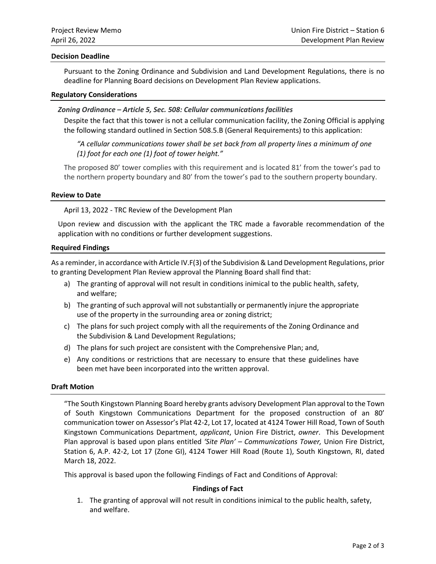#### **Decision Deadline**

Pursuant to the Zoning Ordinance and Subdivision and Land Development Regulations, there is no deadline for Planning Board decisions on Development Plan Review applications.

#### **Regulatory Considerations**

### *Zoning Ordinance – Article 5, Sec. 508: Cellular communications facilities*

Despite the fact that this tower is not a cellular communication facility, the Zoning Official is applying the following standard outlined in Section 508.5.B (General Requirements) to this application:

*"A cellular communications tower shall be set back from all property lines a minimum of one (1) foot for each one (1) foot of tower height."*

The proposed 80' tower complies with this requirement and is located 81' from the tower's pad to the northern property boundary and 80' from the tower's pad to the southern property boundary.

#### **Review to Date**

April 13, 2022 - TRC Review of the Development Plan

Upon review and discussion with the applicant the TRC made a favorable recommendation of the application with no conditions or further development suggestions.

#### **Required Findings**

As a reminder, in accordance with Article IV.F(3) of the Subdivision & Land Development Regulations, prior to granting Development Plan Review approval the Planning Board shall find that:

- a) The granting of approval will not result in conditions inimical to the public health, safety, and welfare;
- b) The granting of such approval will not substantially or permanently injure the appropriate use of the property in the surrounding area or zoning district;
- c) The plans for such project comply with all the requirements of the Zoning Ordinance and the Subdivision & Land Development Regulations;
- d) The plans for such project are consistent with the Comprehensive Plan; and,
- e) Any conditions or restrictions that are necessary to ensure that these guidelines have been met have been incorporated into the written approval.

#### **Draft Motion**

"The South Kingstown Planning Board hereby grants advisory Development Plan approval to the Town of South Kingstown Communications Department for the proposed construction of an 80' communication tower on Assessor's Plat 42-2, Lot 17, located at 4124 Tower Hill Road, Town of South Kingstown Communications Department, *applicant*, Union Fire District, *owner*. This Development Plan approval is based upon plans entitled *'Site Plan' – Communications Tower,* Union Fire District, Station 6, A.P. 42-2, Lot 17 (Zone GI), 4124 Tower Hill Road (Route 1), South Kingstown, RI, dated March 18, 2022.

This approval is based upon the following Findings of Fact and Conditions of Approval:

#### **Findings of Fact**

1. The granting of approval will not result in conditions inimical to the public health, safety, and welfare.